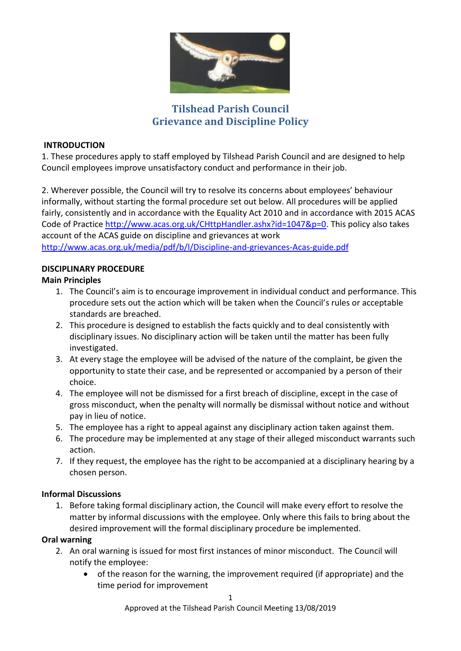

# **Tilshead Parish Council Grievance and Discipline Policy**

### **INTRODUCTION**

1. These procedures apply to staff employed by Tilshead Parish Council and are designed to help Council employees improve unsatisfactory conduct and performance in their job.

2. Wherever possible, the Council will try to resolve its concerns about employees' behaviour informally, without starting the formal procedure set out below. All procedures will be applied fairly, consistently and in accordance with the Equality Act 2010 and in accordance with 2015 ACAS Code of Practice [http://www.acas.org.uk/CHttpHandler.ashx?id=1047&p=0.](http://www.acas.org.uk/CHttpHandler.ashx?id=1047&p=0) This policy also takes account of the ACAS guide on discipline and grievances at work <http://www.acas.org.uk/media/pdf/b/l/Discipline-and-grievances-Acas-guide.pdf>

# **DISCIPLINARY PROCEDURE**

# **Main Principles**

- 1. The Council's aim is to encourage improvement in individual conduct and performance. This procedure sets out the action which will be taken when the Council's rules or acceptable standards are breached.
- 2. This procedure is designed to establish the facts quickly and to deal consistently with disciplinary issues. No disciplinary action will be taken until the matter has been fully investigated.
- 3. At every stage the employee will be advised of the nature of the complaint, be given the opportunity to state their case, and be represented or accompanied by a person of their choice.
- 4. The employee will not be dismissed for a first breach of discipline, except in the case of gross misconduct, when the penalty will normally be dismissal without notice and without pay in lieu of notice.
- 5. The employee has a right to appeal against any disciplinary action taken against them.
- 6. The procedure may be implemented at any stage of their alleged misconduct warrants such action.
- 7. If they request, the employee has the right to be accompanied at a disciplinary hearing by a chosen person.

# **Informal Discussions**

1. Before taking formal disciplinary action, the Council will make every effort to resolve the matter by informal discussions with the employee. Only where this fails to bring about the desired improvement will the formal disciplinary procedure be implemented.

# **Oral warning**

- 2. An oral warning is issued for most first instances of minor misconduct. The Council will notify the employee:
	- of the reason for the warning, the improvement required (if appropriate) and the time period for improvement

Approved at the Tilshead Parish Council Meeting 13/08/2019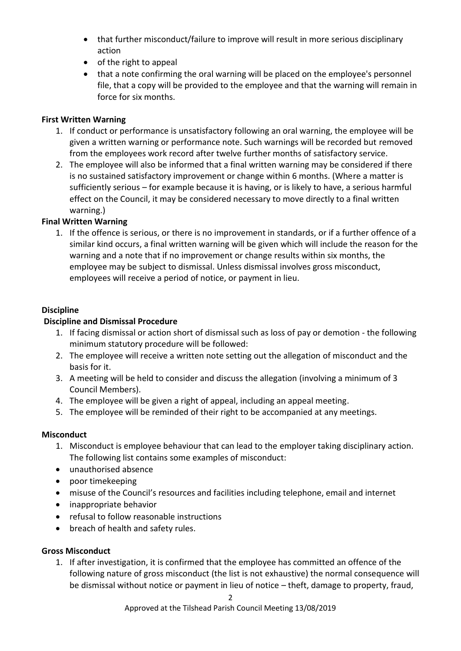- that further misconduct/failure to improve will result in more serious disciplinary action
- of the right to appeal
- that a note confirming the oral warning will be placed on the employee's personnel file, that a copy will be provided to the employee and that the warning will remain in force for six months.

# **First Written Warning**

- 1. If conduct or performance is unsatisfactory following an oral warning, the employee will be given a written warning or performance note. Such warnings will be recorded but removed from the employees work record after twelve further months of satisfactory service.
- 2. The employee will also be informed that a final written warning may be considered if there is no sustained satisfactory improvement or change within 6 months. (Where a matter is sufficiently serious – for example because it is having, or is likely to have, a serious harmful effect on the Council, it may be considered necessary to move directly to a final written warning.)

#### **Final Written Warning**

1. If the offence is serious, or there is no improvement in standards, or if a further offence of a similar kind occurs, a final written warning will be given which will include the reason for the warning and a note that if no improvement or change results within six months, the employee may be subject to dismissal. Unless dismissal involves gross misconduct, employees will receive a period of notice, or payment in lieu.

#### **Discipline**

#### **Discipline and Dismissal Procedure**

- 1. If facing dismissal or action short of dismissal such as loss of pay or demotion the following minimum statutory procedure will be followed:
- 2. The employee will receive a written note setting out the allegation of misconduct and the basis for it.
- 3. A meeting will be held to consider and discuss the allegation (involving a minimum of 3 Council Members).
- 4. The employee will be given a right of appeal, including an appeal meeting.
- 5. The employee will be reminded of their right to be accompanied at any meetings.

#### **Misconduct**

- 1. Misconduct is employee behaviour that can lead to the employer taking disciplinary action. The following list contains some examples of misconduct:
- unauthorised absence
- poor timekeeping
- misuse of the Council's resources and facilities including telephone, email and internet
- inappropriate behavior
- refusal to follow reasonable instructions
- breach of health and safety rules.

# **Gross Misconduct**

1. If after investigation, it is confirmed that the employee has committed an offence of the following nature of gross misconduct (the list is not exhaustive) the normal consequence will be dismissal without notice or payment in lieu of notice – theft, damage to property, fraud,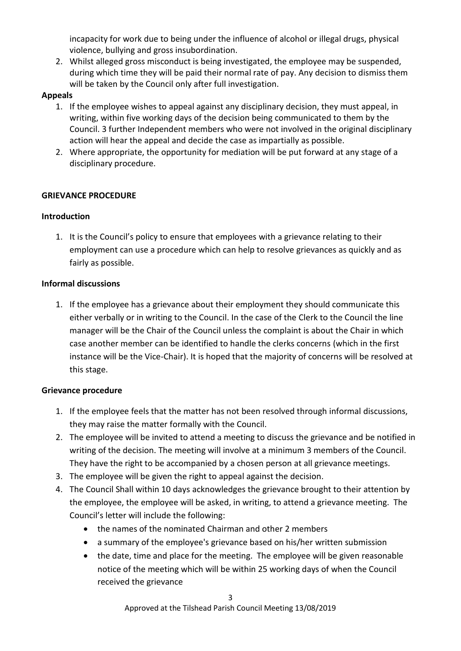incapacity for work due to being under the influence of alcohol or illegal drugs, physical violence, bullying and gross insubordination.

2. Whilst alleged gross misconduct is being investigated, the employee may be suspended, during which time they will be paid their normal rate of pay. Any decision to dismiss them will be taken by the Council only after full investigation.

# **Appeals**

- 1. If the employee wishes to appeal against any disciplinary decision, they must appeal, in writing, within five working days of the decision being communicated to them by the Council. 3 further Independent members who were not involved in the original disciplinary action will hear the appeal and decide the case as impartially as possible.
- 2. Where appropriate, the opportunity for mediation will be put forward at any stage of a disciplinary procedure.

# **GRIEVANCE PROCEDURE**

# **Introduction**

1. It is the Council's policy to ensure that employees with a grievance relating to their employment can use a procedure which can help to resolve grievances as quickly and as fairly as possible.

# **Informal discussions**

1. If the employee has a grievance about their employment they should communicate this either verbally or in writing to the Council. In the case of the Clerk to the Council the line manager will be the Chair of the Council unless the complaint is about the Chair in which case another member can be identified to handle the clerks concerns (which in the first instance will be the Vice-Chair). It is hoped that the majority of concerns will be resolved at this stage.

# **Grievance procedure**

- 1. If the employee feels that the matter has not been resolved through informal discussions, they may raise the matter formally with the Council.
- 2. The employee will be invited to attend a meeting to discuss the grievance and be notified in writing of the decision. The meeting will involve at a minimum 3 members of the Council. They have the right to be accompanied by a chosen person at all grievance meetings.
- 3. The employee will be given the right to appeal against the decision.
- 4. The Council Shall within 10 days acknowledges the grievance brought to their attention by the employee, the employee will be asked, in writing, to attend a grievance meeting. The Council's letter will include the following:
	- the names of the nominated Chairman and other 2 members
	- a summary of the employee's grievance based on his/her written submission
	- the date, time and place for the meeting. The employee will be given reasonable notice of the meeting which will be within 25 working days of when the Council received the grievance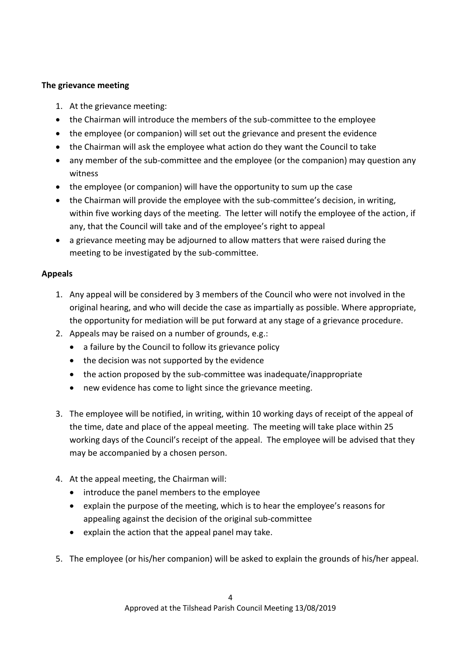# **The grievance meeting**

- 1. At the grievance meeting:
- the Chairman will introduce the members of the sub-committee to the employee
- the employee (or companion) will set out the grievance and present the evidence
- the Chairman will ask the employee what action do they want the Council to take
- any member of the sub-committee and the employee (or the companion) may question any witness
- the employee (or companion) will have the opportunity to sum up the case
- the Chairman will provide the employee with the sub-committee's decision, in writing, within five working days of the meeting. The letter will notify the employee of the action, if any, that the Council will take and of the employee's right to appeal
- a grievance meeting may be adjourned to allow matters that were raised during the meeting to be investigated by the sub-committee.

# **Appeals**

- 1. Any appeal will be considered by 3 members of the Council who were not involved in the original hearing, and who will decide the case as impartially as possible. Where appropriate, the opportunity for mediation will be put forward at any stage of a grievance procedure.
- 2. Appeals may be raised on a number of grounds, e.g.:
	- a failure by the Council to follow its grievance policy
	- the decision was not supported by the evidence
	- the action proposed by the sub-committee was inadequate/inappropriate
	- new evidence has come to light since the grievance meeting.
- 3. The employee will be notified, in writing, within 10 working days of receipt of the appeal of the time, date and place of the appeal meeting. The meeting will take place within 25 working days of the Council's receipt of the appeal. The employee will be advised that they may be accompanied by a chosen person.
- 4. At the appeal meeting, the Chairman will:
	- introduce the panel members to the employee
	- explain the purpose of the meeting, which is to hear the employee's reasons for appealing against the decision of the original sub-committee
	- explain the action that the appeal panel may take.
- 5. The employee (or his/her companion) will be asked to explain the grounds of his/her appeal.